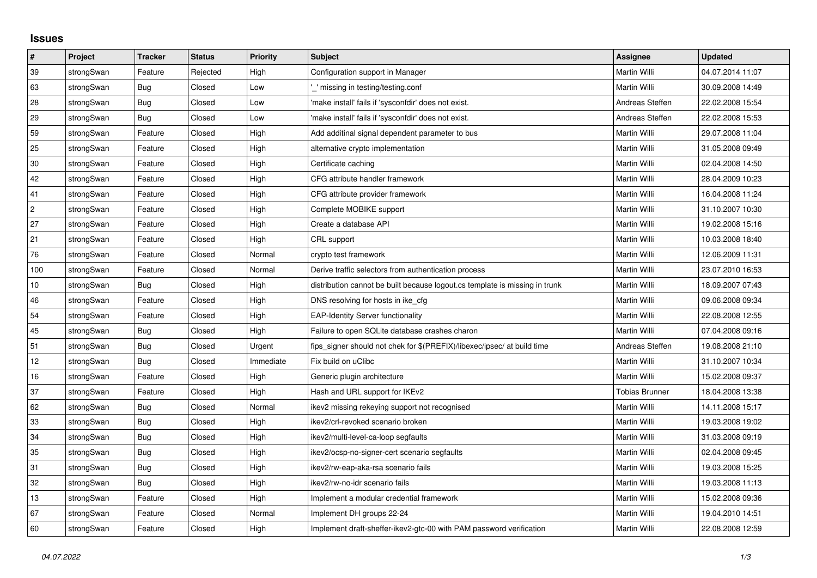## **Issues**

| $\pmb{\#}$     | Project    | <b>Tracker</b> | <b>Status</b> | Priority  | <b>Subject</b>                                                              | <b>Assignee</b>       | <b>Updated</b>   |
|----------------|------------|----------------|---------------|-----------|-----------------------------------------------------------------------------|-----------------------|------------------|
| 39             | strongSwan | Feature        | Rejected      | High      | Configuration support in Manager                                            | Martin Willi          | 04.07.2014 11:07 |
| 63             | strongSwan | Bug            | Closed        | Low       | missing in testing/testing.conf                                             | Martin Willi          | 30.09.2008 14:49 |
| 28             | strongSwan | Bug            | Closed        | Low       | 'make install' fails if 'sysconfdir' does not exist.                        | Andreas Steffen       | 22.02.2008 15:54 |
| 29             | strongSwan | Bug            | Closed        | Low       | 'make install' fails if 'sysconfdir' does not exist.                        | Andreas Steffen       | 22.02.2008 15:53 |
| 59             | strongSwan | Feature        | Closed        | High      | Add additinal signal dependent parameter to bus                             | Martin Willi          | 29.07.2008 11:04 |
| 25             | strongSwan | Feature        | Closed        | High      | alternative crypto implementation                                           | Martin Willi          | 31.05.2008 09:49 |
| 30             | strongSwan | Feature        | Closed        | High      | Certificate caching                                                         | Martin Willi          | 02.04.2008 14:50 |
| 42             | strongSwan | Feature        | Closed        | High      | CFG attribute handler framework                                             | Martin Willi          | 28.04.2009 10:23 |
| 41             | strongSwan | Feature        | Closed        | High      | CFG attribute provider framework                                            | Martin Willi          | 16.04.2008 11:24 |
| $\overline{c}$ | strongSwan | Feature        | Closed        | High      | Complete MOBIKE support                                                     | Martin Willi          | 31.10.2007 10:30 |
| 27             | strongSwan | Feature        | Closed        | High      | Create a database API                                                       | Martin Willi          | 19.02.2008 15:16 |
| 21             | strongSwan | Feature        | Closed        | High      | CRL support                                                                 | Martin Willi          | 10.03.2008 18:40 |
| 76             | strongSwan | Feature        | Closed        | Normal    | crypto test framework                                                       | Martin Willi          | 12.06.2009 11:31 |
| 100            | strongSwan | Feature        | Closed        | Normal    | Derive traffic selectors from authentication process                        | Martin Willi          | 23.07.2010 16:53 |
| $10$           | strongSwan | Bug            | Closed        | High      | distribution cannot be built because logout.cs template is missing in trunk | Martin Willi          | 18.09.2007 07:43 |
| 46             | strongSwan | Feature        | Closed        | High      | DNS resolving for hosts in ike_cfg                                          | Martin Willi          | 09.06.2008 09:34 |
| 54             | strongSwan | Feature        | Closed        | High      | <b>EAP-Identity Server functionality</b>                                    | Martin Willi          | 22.08.2008 12:55 |
| 45             | strongSwan | Bug            | Closed        | High      | Failure to open SQLite database crashes charon                              | Martin Willi          | 07.04.2008 09:16 |
| 51             | strongSwan | <b>Bug</b>     | Closed        | Urgent    | fips signer should not chek for \$(PREFIX)/libexec/ipsec/ at build time     | Andreas Steffen       | 19.08.2008 21:10 |
| 12             | strongSwan | Bug            | Closed        | Immediate | Fix build on uClibc                                                         | Martin Willi          | 31.10.2007 10:34 |
| $16\,$         | strongSwan | Feature        | Closed        | High      | Generic plugin architecture                                                 | Martin Willi          | 15.02.2008 09:37 |
| 37             | strongSwan | Feature        | Closed        | High      | Hash and URL support for IKEv2                                              | <b>Tobias Brunner</b> | 18.04.2008 13:38 |
| 62             | strongSwan | <b>Bug</b>     | Closed        | Normal    | ikev2 missing rekeying support not recognised                               | Martin Willi          | 14.11.2008 15:17 |
| 33             | strongSwan | Bug            | Closed        | High      | ikev2/crl-revoked scenario broken                                           | Martin Willi          | 19.03.2008 19:02 |
| 34             | strongSwan | Bug            | Closed        | High      | ikev2/multi-level-ca-loop segfaults                                         | Martin Willi          | 31.03.2008 09:19 |
| 35             | strongSwan | Bug            | Closed        | High      | ikev2/ocsp-no-signer-cert scenario segfaults                                | Martin Willi          | 02.04.2008 09:45 |
| 31             | strongSwan | Bug            | Closed        | High      | ikev2/rw-eap-aka-rsa scenario fails                                         | Martin Willi          | 19.03.2008 15:25 |
| 32             | strongSwan | <b>Bug</b>     | Closed        | High      | ikev2/rw-no-idr scenario fails                                              | Martin Willi          | 19.03.2008 11:13 |
| 13             | strongSwan | Feature        | Closed        | High      | Implement a modular credential framework                                    | Martin Willi          | 15.02.2008 09:36 |
| 67             | strongSwan | Feature        | Closed        | Normal    | Implement DH groups 22-24                                                   | Martin Willi          | 19.04.2010 14:51 |
| 60             | strongSwan | Feature        | Closed        | High      | Implement draft-sheffer-ikev2-gtc-00 with PAM password verification         | Martin Willi          | 22.08.2008 12:59 |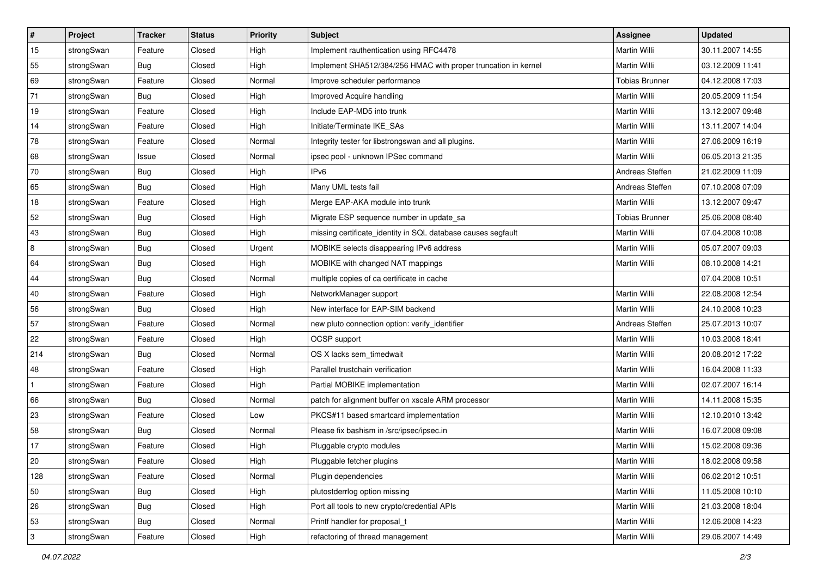| ∦            | Project    | <b>Tracker</b> | <b>Status</b> | <b>Priority</b> | <b>Subject</b>                                                 | Assignee              | <b>Updated</b>   |
|--------------|------------|----------------|---------------|-----------------|----------------------------------------------------------------|-----------------------|------------------|
| 15           | strongSwan | Feature        | Closed        | High            | Implement rauthentication using RFC4478                        | Martin Willi          | 30.11.2007 14:55 |
| 55           | strongSwan | <b>Bug</b>     | Closed        | High            | Implement SHA512/384/256 HMAC with proper truncation in kernel | Martin Willi          | 03.12.2009 11:41 |
| 69           | strongSwan | Feature        | Closed        | Normal          | Improve scheduler performance                                  | <b>Tobias Brunner</b> | 04.12.2008 17:03 |
| 71           | strongSwan | Bug            | Closed        | High            | Improved Acquire handling                                      | Martin Willi          | 20.05.2009 11:54 |
| 19           | strongSwan | Feature        | Closed        | High            | Include EAP-MD5 into trunk                                     | <b>Martin Willi</b>   | 13.12.2007 09:48 |
| 14           | strongSwan | Feature        | Closed        | High            | Initiate/Terminate IKE_SAs                                     | Martin Willi          | 13.11.2007 14:04 |
| 78           | strongSwan | Feature        | Closed        | Normal          | Integrity tester for libstrongswan and all plugins.            | Martin Willi          | 27.06.2009 16:19 |
| 68           | strongSwan | Issue          | Closed        | Normal          | ipsec pool - unknown IPSec command                             | Martin Willi          | 06.05.2013 21:35 |
| 70           | strongSwan | <b>Bug</b>     | Closed        | High            | IPv6                                                           | Andreas Steffen       | 21.02.2009 11:09 |
| 65           | strongSwan | <b>Bug</b>     | Closed        | High            | Many UML tests fail                                            | Andreas Steffen       | 07.10.2008 07:09 |
| 18           | strongSwan | Feature        | Closed        | High            | Merge EAP-AKA module into trunk                                | Martin Willi          | 13.12.2007 09:47 |
| 52           | strongSwan | <b>Bug</b>     | Closed        | High            | Migrate ESP sequence number in update_sa                       | <b>Tobias Brunner</b> | 25.06.2008 08:40 |
| 43           | strongSwan | Bug            | Closed        | High            | missing certificate_identity in SQL database causes segfault   | Martin Willi          | 07.04.2008 10:08 |
| 8            | strongSwan | Bug            | Closed        | Urgent          | MOBIKE selects disappearing IPv6 address                       | Martin Willi          | 05.07.2007 09:03 |
| 64           | strongSwan | Bug            | Closed        | High            | MOBIKE with changed NAT mappings                               | <b>Martin Willi</b>   | 08.10.2008 14:21 |
| 44           | strongSwan | Bug            | Closed        | Normal          | multiple copies of ca certificate in cache                     |                       | 07.04.2008 10:51 |
| 40           | strongSwan | Feature        | Closed        | High            | NetworkManager support                                         | <b>Martin Willi</b>   | 22.08.2008 12:54 |
| 56           | strongSwan | Bug            | Closed        | High            | New interface for EAP-SIM backend                              | Martin Willi          | 24.10.2008 10:23 |
| 57           | strongSwan | Feature        | Closed        | Normal          | new pluto connection option: verify_identifier                 | Andreas Steffen       | 25.07.2013 10:07 |
| 22           | strongSwan | Feature        | Closed        | High            | OCSP support                                                   | Martin Willi          | 10.03.2008 18:41 |
| 214          | strongSwan | Bug            | Closed        | Normal          | OS X lacks sem_timedwait                                       | Martin Willi          | 20.08.2012 17:22 |
| 48           | strongSwan | Feature        | Closed        | High            | Parallel trustchain verification                               | Martin Willi          | 16.04.2008 11:33 |
| $\mathbf{1}$ | strongSwan | Feature        | Closed        | High            | Partial MOBIKE implementation                                  | <b>Martin Willi</b>   | 02.07.2007 16:14 |
| 66           | strongSwan | Bug            | Closed        | Normal          | patch for alignment buffer on xscale ARM processor             | Martin Willi          | 14.11.2008 15:35 |
| 23           | strongSwan | Feature        | Closed        | Low             | PKCS#11 based smartcard implementation                         | Martin Willi          | 12.10.2010 13:42 |
| 58           | strongSwan | Bug            | Closed        | Normal          | Please fix bashism in /src/ipsec/ipsec.in                      | <b>Martin Willi</b>   | 16.07.2008 09:08 |
| 17           | strongSwan | Feature        | Closed        | High            | Pluggable crypto modules                                       | Martin Willi          | 15.02.2008 09:36 |
| 20           | strongSwan | Feature        | Closed        | High            | Pluggable fetcher plugins                                      | Martin Willi          | 18.02.2008 09:58 |
| 128          | strongSwan | Feature        | Closed        | Normal          | Plugin dependencies                                            | Martin Willi          | 06.02.2012 10:51 |
| 50           | strongSwan | Bug            | Closed        | High            | plutostderrlog option missing                                  | Martin Willi          | 11.05.2008 10:10 |
| 26           | strongSwan | Bug            | Closed        | High            | Port all tools to new crypto/credential APIs                   | Martin Willi          | 21.03.2008 18:04 |
| 53           | strongSwan | Bug            | Closed        | Normal          | Printf handler for proposal t                                  | Martin Willi          | 12.06.2008 14:23 |
| 3            | strongSwan | Feature        | Closed        | High            | refactoring of thread management                               | Martin Willi          | 29.06.2007 14:49 |